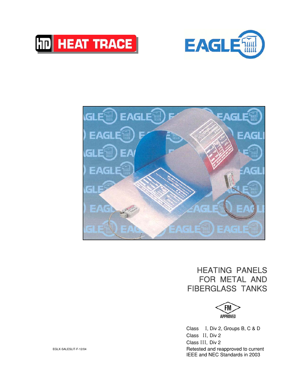





# HEATING PANELS FOR METAL AND FIBERGLASS TANKS



Class I, Div 2, Groups B, C & D Class II, Div 2 Class III, Div 2 Retested and reapproved to current IEEE and NEC Standards in 2003

EGLX−SALESLIT−F−12/04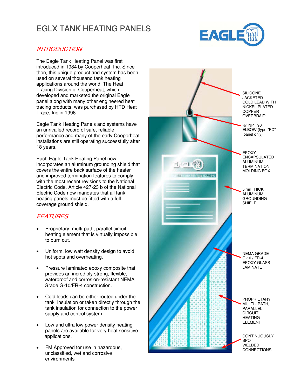# EGLX TANK HEATING PANELS



## **INTRODUCTION**

The Eagle Tank Heating Panel was first introduced in 1984 by Cooperheat, Inc. Since then, this unique product and system has been used on several thousand tank heating applications around the world. The Heat Tracing Division of Cooperheat, which developed and marketed the original Eagle panel along with many other engineered heat tracing products, was purchased by HTD Heat Trace, Inc in 1996.

Eagle Tank Heating Panels and systems have an unrivalled record of safe, reliable performance and many of the early Cooperheat installations are still operating successfully after 18 years.

Each Eagle Tank Heating Panel now incorporates an aluminum grounding shield that covers the entire back surface of the heater and improved termination features to comply with the most recent revisions to the National Electric Code. Article 427−23 b of the National Electric Code now mandates that all tank heating panels must be fitted with a full coverage ground shield.

# **FEATURES**

- Proprietary, multi−path, parallel circuit heating element that is virtually impossible to burn out.
- Uniform, low watt density design to avoid hot spots and overheating.
- Pressure laminated epoxy composite that provides an incredibly strong, flexible, waterproof and corrosion−resistant NEMA Grade G−10/FR−4 construction.
- Cold leads can be either routed under the tank insulation or taken directly through the tank insulation for connection to the power supply and control system.
- Low and ultra low power density heating panels are available for very heat sensitive applications.
- FM Approved for use in hazardous, unclassified, wet and corrosive environments

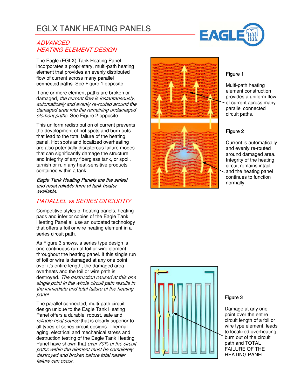# EGLX TANK HEATING PANELS

### **ADVANCED** HEATING ELEMENT DESIGN

The Eagle (EGLX) Tank Heating Panel incorporates a proprietary, multi−path heating element that provides an evenly distributed flow of current across many parallel connected paths. See Figure 1 opposite.

If one or more element paths are broken or damaged, the current flow is instantaneously, automatically and evenly re−routed around the damaged area into the remaining undamaged element paths. See Figure 2 opposite.

This uniform redistribution of current prevents the development of hot spots and burn outs that lead to the total failure of the heating panel. Hot spots and localized overheating are also potentially disasterous failure modes that can significantly damage the structure and integrity of any fiberglass tank, or spoil, tarnish or ruin any heat−sensitive products contained within a tank.

#### Eagle Tank Heating Panels are the safest and most reliable form of tank heater available.

# PARALLEL vs SERIES CIRCUITRY

Competitive styles of heating panels, heating pads and inferior copies of the Eagle Tank Heating Panel all use an outdated technology that offers a foil or wire heating element in a series circuit path.

As Figure 3 shows, a series type design is one continuous run of foil or wire element throughout the heating panel. If this single run of foil or wire is damaged at any one point over it's entire length, the damaged area overheats and the foil or wire path is destroyed. The destruction caused at this one single point in the whole circuit path results in the immediate and total failure of the heating panel.

The parallel connected, multi−path circuit design unique to the Eagle Tank Heating Panel offers a durable, robust, safe and reliable heat source that is clearly superior to all types of series circuit designs. Thermal aging, electrical and mechanical stress and destruction testing of the Eagle Tank Heating Panel have shown that over 70% of the circuit paths within the element must be completely destroyed and broken before total heater failure can occur.







### Figure 1

Multi−path heating element construction provides a uniform flow of current across many parallel connected circuit paths.

## Figure 2

Current is automatically and evenly re−routed around damaged area. Integrity of the heating circuit remains intact and the heating panel continues to function normally.



### Figure 3

Damage at any one point over the entire circuit length of a foil or wire type element, leads to localized overheating, burn out of the circuit path and TOTAL FAILURE OF THE HEATING PANEL.